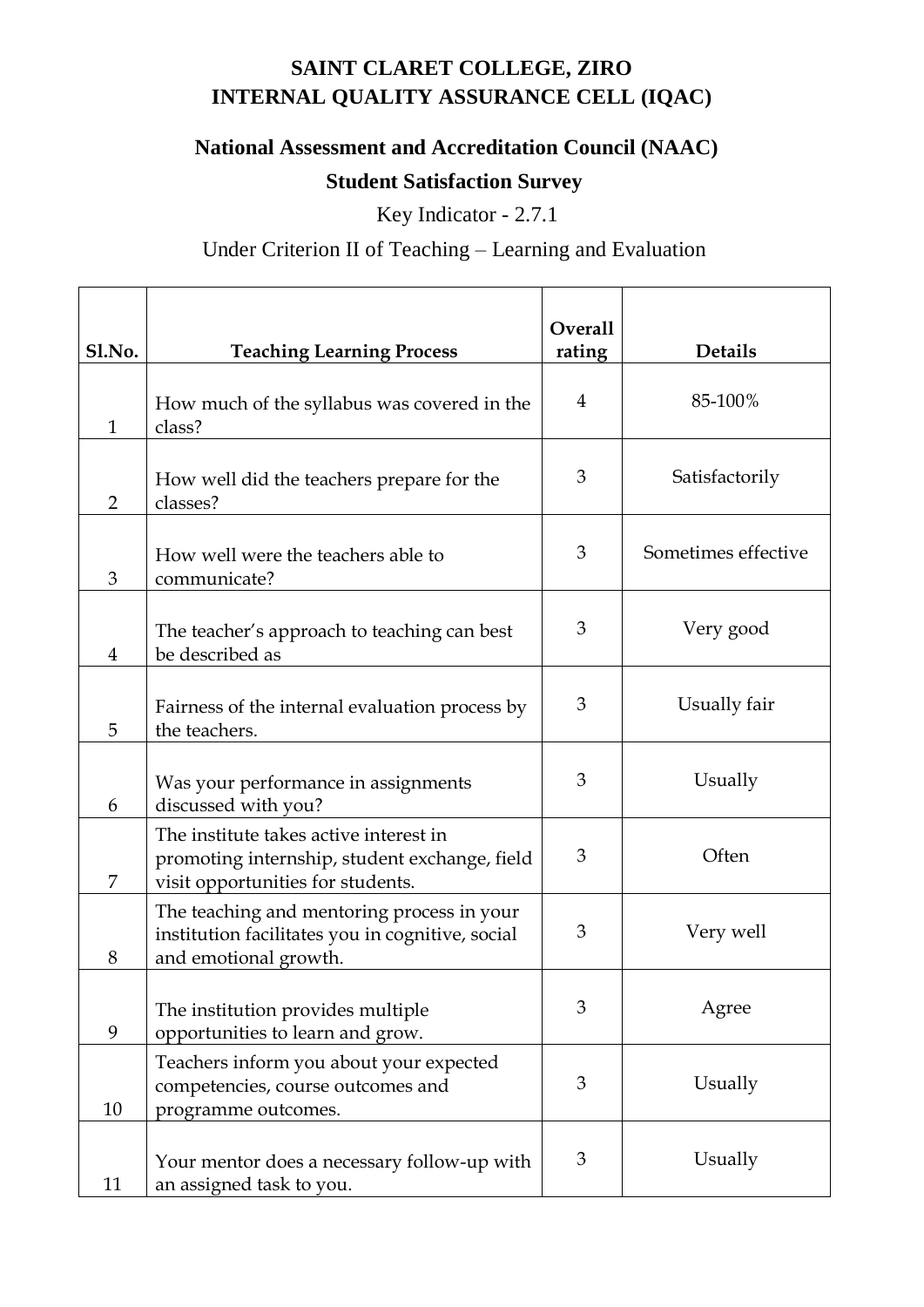## **SAINT CLARET COLLEGE, ZIRO INTERNAL QUALITY ASSURANCE CELL (IQAC)**

## **National Assessment and Accreditation Council (NAAC)**

## **Student Satisfaction Survey**

Key Indicator - 2.7.1

## Under Criterion II of Teaching – Learning and Evaluation

| Sl.No.         | <b>Teaching Learning Process</b>                                                                                             | <b>Overall</b><br>rating | <b>Details</b>      |
|----------------|------------------------------------------------------------------------------------------------------------------------------|--------------------------|---------------------|
| $\mathbf{1}$   | How much of the syllabus was covered in the<br>class?                                                                        | $\overline{4}$           | 85-100%             |
| $\overline{2}$ | How well did the teachers prepare for the<br>classes?                                                                        | 3                        | Satisfactorily      |
| 3              | How well were the teachers able to<br>communicate?                                                                           | 3                        | Sometimes effective |
| $\overline{4}$ | The teacher's approach to teaching can best<br>be described as                                                               | 3                        | Very good           |
| 5              | Fairness of the internal evaluation process by<br>the teachers.                                                              | 3                        | Usually fair        |
| 6              | Was your performance in assignments<br>discussed with you?                                                                   | 3                        | Usually             |
| 7              | The institute takes active interest in<br>promoting internship, student exchange, field<br>visit opportunities for students. | 3                        | Often               |
| 8              | The teaching and mentoring process in your<br>institution facilitates you in cognitive, social<br>and emotional growth.      | 3                        | Very well           |
| 9              | The institution provides multiple<br>opportunities to learn and grow.                                                        | 3                        | Agree               |
| 10             | Teachers inform you about your expected<br>competencies, course outcomes and<br>programme outcomes.                          | 3                        | Usually             |
| 11             | Your mentor does a necessary follow-up with<br>an assigned task to you.                                                      | 3                        | Usually             |